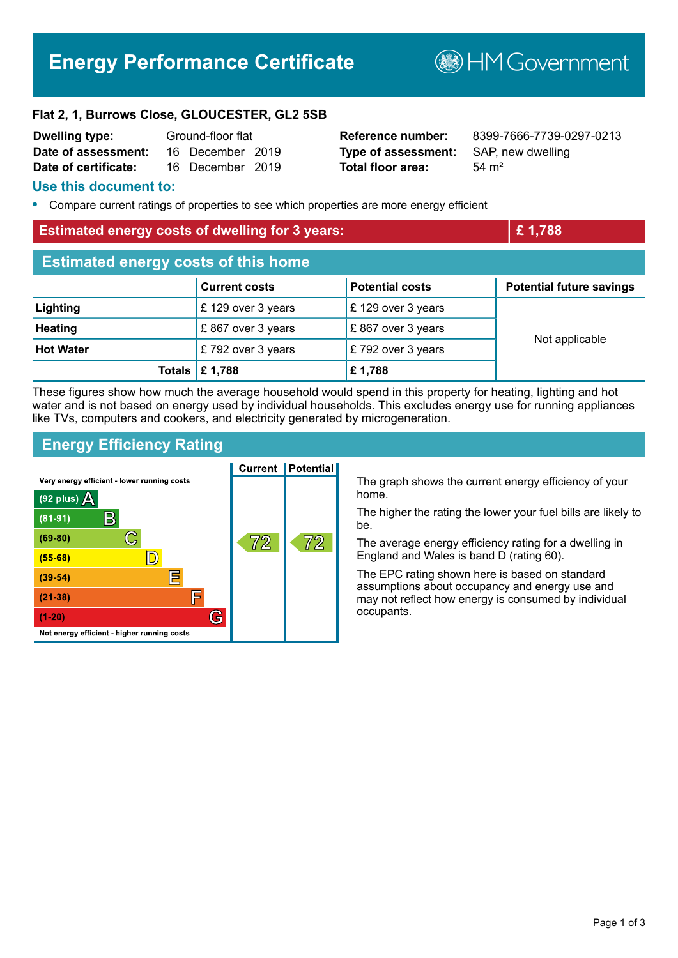# **Energy Performance Certificate**

**B**HMGovernment

#### **Flat 2, 1, Burrows Close, GLOUCESTER, GL2 5SB**

| <b>Dwelling type:</b> | Ground-floor flat |                  |  |
|-----------------------|-------------------|------------------|--|
| Date of assessment:   |                   | 16 December 2019 |  |
| Date of certificate:  |                   | 16 December 2019 |  |

**Type of assessment:** SAP, new dwelling **Total floor area:** 54 m<sup>2</sup>

**Reference number:** 8399-7666-7739-0297-0213

#### **Use this document to:**

**•** Compare current ratings of properties to see which properties are more energy efficient

#### **Estimated energy costs of dwelling for 3 years: <b>EXECUTE:** 1,788

| <b>Estimated energy costs of this home</b> |                                 |                        |                                 |  |  |
|--------------------------------------------|---------------------------------|------------------------|---------------------------------|--|--|
|                                            | <b>Current costs</b>            | <b>Potential costs</b> | <b>Potential future savings</b> |  |  |
| Lighting                                   | £129 over 3 years               | £129 over 3 years      | Not applicable                  |  |  |
| <b>Heating</b>                             | £867 over 3 years               | £867 over 3 years      |                                 |  |  |
| <b>Hot Water</b>                           | $\mathsf{E}$ 792 over 3 years   | £792 over 3 years      |                                 |  |  |
|                                            | Totals $\mathbf \epsilon$ 1,788 | £1,788                 |                                 |  |  |

These figures show how much the average household would spend in this property for heating, lighting and hot water and is not based on energy used by individual households. This excludes energy use for running appliances like TVs, computers and cookers, and electricity generated by microgeneration.

## **Energy Efficiency Rating**



The graph shows the current energy efficiency of your home.

The higher the rating the lower your fuel bills are likely to

The average energy efficiency rating for a dwelling in England and Wales is band D (rating 60).

The EPC rating shown here is based on standard assumptions about occupancy and energy use and may not reflect how energy is consumed by individual occupants.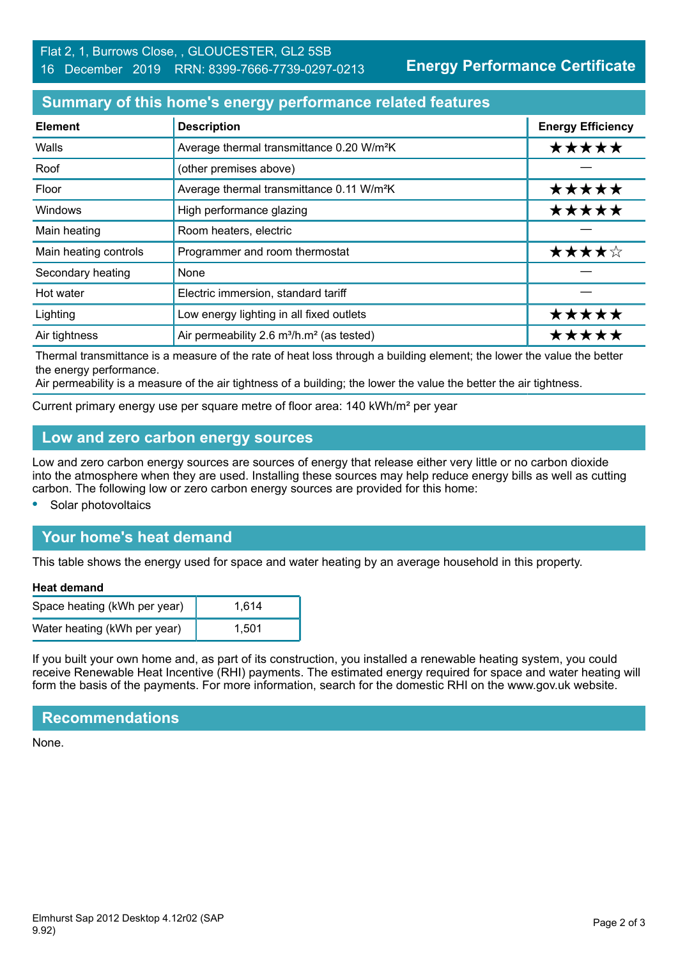**Energy Performance Certificate**

# **Summary of this home's energy performance related features**

| <b>Element</b>        | <b>Description</b>                                                | <b>Energy Efficiency</b> |
|-----------------------|-------------------------------------------------------------------|--------------------------|
| Walls                 | Average thermal transmittance 0.20 W/m <sup>2</sup> K             | *****                    |
| Roof                  | (other premises above)                                            |                          |
| Floor                 | Average thermal transmittance 0.11 W/m <sup>2</sup> K             | *****                    |
| Windows               | High performance glazing                                          | *****                    |
| Main heating          | Room heaters, electric                                            |                          |
| Main heating controls | Programmer and room thermostat                                    | ★★★★☆                    |
| Secondary heating     | None                                                              |                          |
| Hot water             | Electric immersion, standard tariff                               |                          |
| Lighting              | Low energy lighting in all fixed outlets                          | *****                    |
| Air tightness         | Air permeability 2.6 m <sup>3</sup> /h.m <sup>2</sup> (as tested) | ***                      |

Thermal transmittance is a measure of the rate of heat loss through a building element; the lower the value the better the energy performance.

Air permeability is a measure of the air tightness of a building; the lower the value the better the air tightness.

Current primary energy use per square metre of floor area: 140 kWh/m² per year

## **Low and zero carbon energy sources**

Low and zero carbon energy sources are sources of energy that release either very little or no carbon dioxide into the atmosphere when they are used. Installing these sources may help reduce energy bills as well as cutting carbon. The following low or zero carbon energy sources are provided for this home:

**•** Solar photovoltaics

# **Your home's heat demand**

This table shows the energy used for space and water heating by an average household in this property.

#### **Heat demand**

| Space heating (kWh per year) | 1,614 |
|------------------------------|-------|
| Water heating (kWh per year) | 1,501 |

If you built your own home and, as part of its construction, you installed a renewable heating system, you could receive Renewable Heat Incentive (RHI) payments. The estimated energy required for space and water heating will form the basis of the payments. For more information, search for the domestic RHI on the www.gov.uk website.

#### **Recommendations**

None.